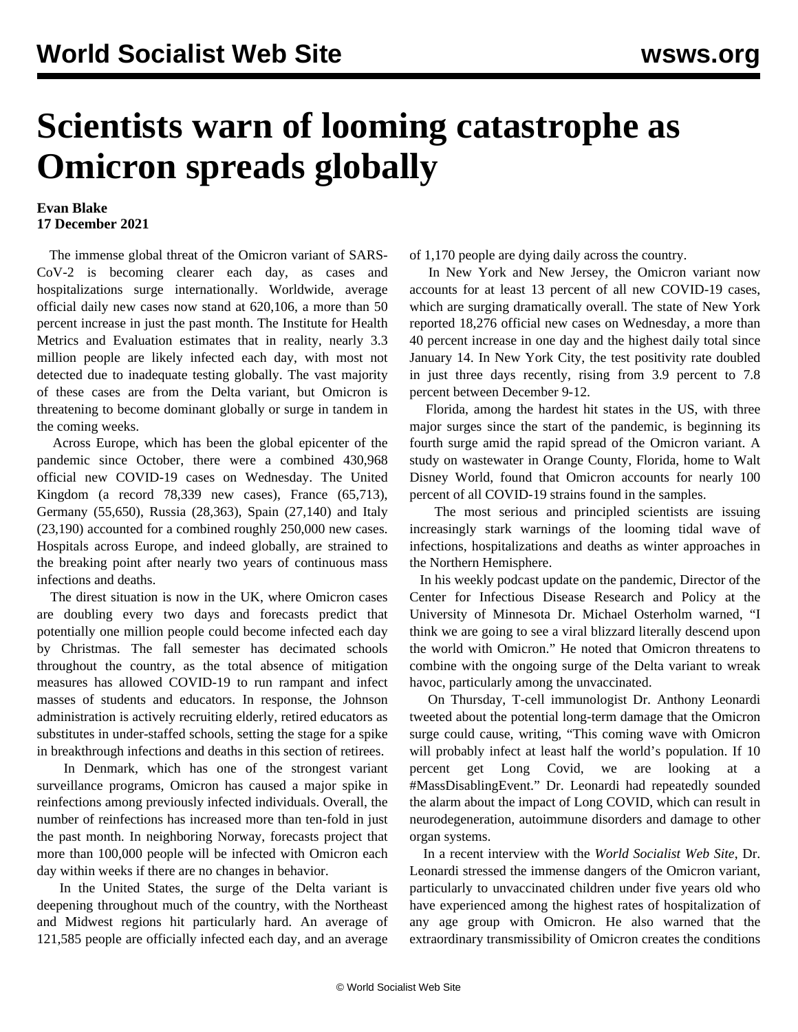## **Scientists warn of looming catastrophe as Omicron spreads globally**

## **Evan Blake 17 December 2021**

 The immense global threat of the Omicron variant of SARS-CoV-2 is becoming clearer each day, as cases and hospitalizations surge internationally. Worldwide, average official daily new cases now stand at 620,106, a more than 50 percent increase in just the past month. The Institute for Health Metrics and Evaluation estimates that in reality, nearly 3.3 million people are likely infected each day, with most not detected due to inadequate testing globally. The vast majority of these cases are from the Delta variant, but Omicron is threatening to become dominant globally or surge in tandem in the coming weeks.

 Across Europe, which has been the global epicenter of the pandemic since October, there were a combined 430,968 official new COVID-19 cases on Wednesday. The United Kingdom (a record 78,339 new cases), France (65,713), Germany (55,650), Russia (28,363), Spain (27,140) and Italy (23,190) accounted for a combined roughly 250,000 new cases. Hospitals across Europe, and indeed globally, are strained to the breaking point after nearly two years of continuous mass infections and deaths.

 The direst situation is now in the UK, where Omicron cases are doubling every two days and forecasts predict that potentially one million people could become infected each day by Christmas. The fall semester has decimated schools throughout the country, as the total absence of mitigation measures has allowed COVID-19 to run rampant and infect masses of students and educators. In response, the Johnson administration is actively recruiting elderly, retired educators as substitutes in under-staffed schools, setting the stage for a spike in breakthrough infections and deaths in this section of retirees.

 In Denmark, which has one of the strongest variant surveillance programs, Omicron has caused a major spike in reinfections among previously infected individuals. Overall, the number of reinfections has increased more than ten-fold in just the past month. In neighboring Norway, forecasts project that more than 100,000 people will be infected with Omicron each day within weeks if there are no changes in behavior.

 In the United States, the surge of the Delta variant is deepening throughout much of the country, with the Northeast and Midwest regions hit particularly hard. An average of 121,585 people are officially infected each day, and an average

of 1,170 people are dying daily across the country.

 In New York and New Jersey, the Omicron variant now accounts for at least 13 percent of all new COVID-19 cases, which are surging dramatically overall. The state of New York reported 18,276 official new cases on Wednesday, a more than 40 percent increase in one day and the highest daily total since January 14. In New York City, the test positivity rate doubled in just three days recently, rising from 3.9 percent to 7.8 percent between December 9-12.

 Florida, among the hardest hit states in the US, with three major surges since the start of the pandemic, is beginning its fourth surge amid the rapid spread of the Omicron variant. A study on wastewater in Orange County, Florida, home to Walt Disney World, found that Omicron accounts for nearly 100 percent of all COVID-19 strains found in the samples.

 The most serious and principled scientists are issuing increasingly stark warnings of the looming tidal wave of infections, hospitalizations and deaths as winter approaches in the Northern Hemisphere.

 In his weekly podcast update on the pandemic, Director of the Center for Infectious Disease Research and Policy at the University of Minnesota Dr. Michael Osterholm warned, "I think we are going to see a viral blizzard literally descend upon the world with Omicron." He noted that Omicron threatens to combine with the ongoing surge of the Delta variant to wreak havoc, particularly among the unvaccinated.

 On Thursday, T-cell immunologist Dr. Anthony Leonardi tweeted about the potential long-term damage that the Omicron surge could cause, writing, "This coming wave with Omicron will probably infect at least half the world's population. If 10 percent get Long Covid, we are looking at a #MassDisablingEvent." Dr. Leonardi had repeatedly sounded the alarm about the impact of Long COVID, which can result in neurodegeneration, autoimmune disorders and damage to other organ systems.

 In a [recent interview](/en/articles/2021/12/13/ezcz-d13.html) with the *World Socialist Web Site*, Dr. Leonardi stressed the immense dangers of the Omicron variant, particularly to unvaccinated children under five years old who have experienced among the highest rates of hospitalization of any age group with Omicron. He also warned that the extraordinary transmissibility of Omicron creates the conditions